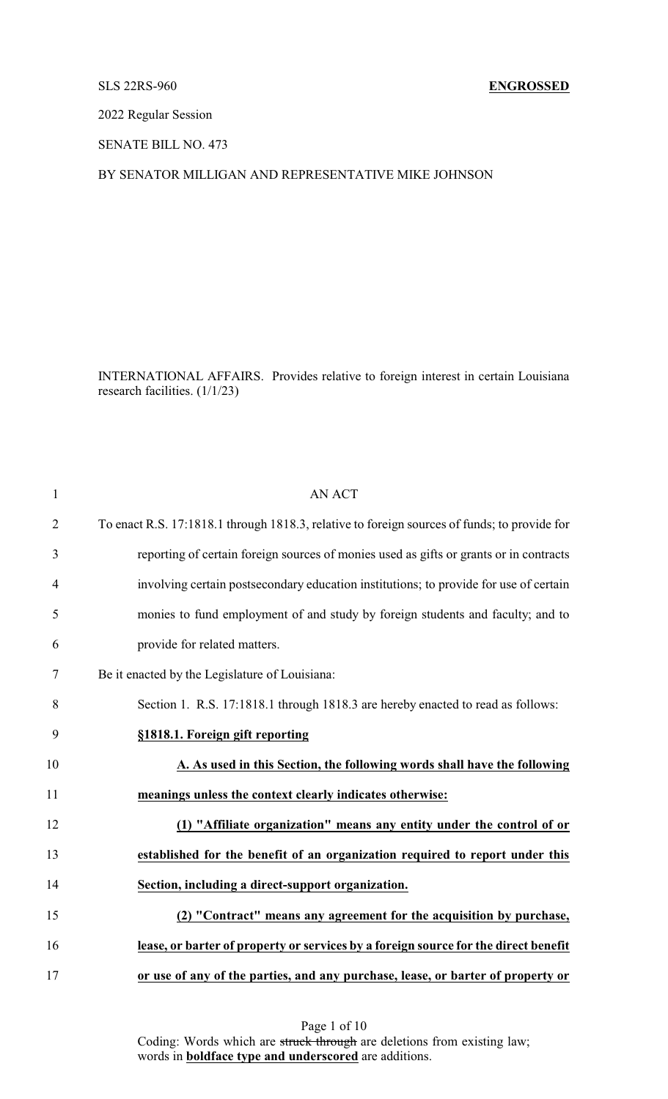## SLS 22RS-960 **ENGROSSED**

2022 Regular Session

SENATE BILL NO. 473

## BY SENATOR MILLIGAN AND REPRESENTATIVE MIKE JOHNSON

INTERNATIONAL AFFAIRS. Provides relative to foreign interest in certain Louisiana research facilities. (1/1/23)

| $\mathbf{1}$   | <b>AN ACT</b>                                                                                |
|----------------|----------------------------------------------------------------------------------------------|
| $\overline{2}$ | To enact R.S. 17:1818.1 through 1818.3, relative to foreign sources of funds; to provide for |
| 3              | reporting of certain foreign sources of monies used as gifts or grants or in contracts       |
| $\overline{4}$ | involving certain postsecondary education institutions; to provide for use of certain        |
| 5              | monies to fund employment of and study by foreign students and faculty; and to               |
| 6              | provide for related matters.                                                                 |
| 7              | Be it enacted by the Legislature of Louisiana:                                               |
| 8              | Section 1. R.S. 17:1818.1 through 1818.3 are hereby enacted to read as follows:              |
| 9              | §1818.1. Foreign gift reporting                                                              |
| 10             | A. As used in this Section, the following words shall have the following                     |
| 11             | meanings unless the context clearly indicates otherwise:                                     |
| 12             | (1) "Affiliate organization" means any entity under the control of or                        |
| 13             | established for the benefit of an organization required to report under this                 |
| 14             | Section, including a direct-support organization.                                            |
| 15             | (2) "Contract" means any agreement for the acquisition by purchase,                          |
| 16             | lease, or barter of property or services by a foreign source for the direct benefit          |
| 17             | or use of any of the parties, and any purchase, lease, or barter of property or              |

Page 1 of 10 Coding: Words which are struck through are deletions from existing law; words in **boldface type and underscored** are additions.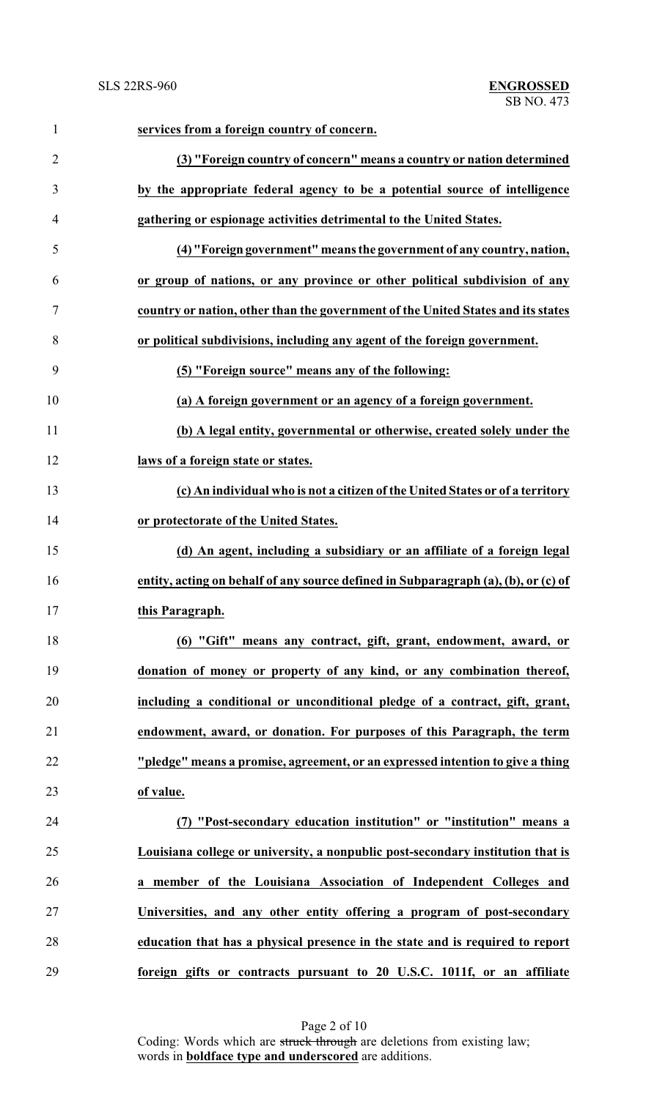| $\mathbf{1}$   | services from a foreign country of concern.                                        |
|----------------|------------------------------------------------------------------------------------|
| $\overline{2}$ | (3) "Foreign country of concern" means a country or nation determined              |
| 3              | by the appropriate federal agency to be a potential source of intelligence         |
| $\overline{4}$ | gathering or espionage activities detrimental to the United States.                |
| 5              | (4) "Foreign government" means the government of any country, nation,              |
| 6              | or group of nations, or any province or other political subdivision of any         |
| $\tau$         | country or nation, other than the government of the United States and its states   |
| 8              | or political subdivisions, including any agent of the foreign government.          |
| 9              | (5) "Foreign source" means any of the following:                                   |
| 10             | (a) A foreign government or an agency of a foreign government.                     |
| 11             | (b) A legal entity, governmental or otherwise, created solely under the            |
| 12             | laws of a foreign state or states.                                                 |
| 13             | (c) An individual who is not a citizen of the United States or of a territory      |
| 14             | or protectorate of the United States.                                              |
| 15             | (d) An agent, including a subsidiary or an affiliate of a foreign legal            |
| 16             | entity, acting on behalf of any source defined in Subparagraph (a), (b), or (c) of |
| 17             | this Paragraph.                                                                    |
| 18             | (6) "Gift" means any contract, gift, grant, endowment, award, or                   |
| 19             | donation of money or property of any kind, or any combination thereof,             |
| 20             | including a conditional or unconditional pledge of a contract, gift, grant,        |
| 21             | endowment, award, or donation. For purposes of this Paragraph, the term            |
| 22             | "pledge" means a promise, agreement, or an expressed intention to give a thing     |
| 23             | of value.                                                                          |
| 24             | "Post-secondary education institution" or "institution" means a                    |
| 25             | Louisiana college or university, a nonpublic post-secondary institution that is    |
| 26             | a member of the Louisiana Association of Independent Colleges and                  |
| 27             | Universities, and any other entity offering a program of post-secondary            |
| 28             | education that has a physical presence in the state and is required to report      |
| 29             | foreign gifts or contracts pursuant to 20 U.S.C. 1011f, or an affiliate            |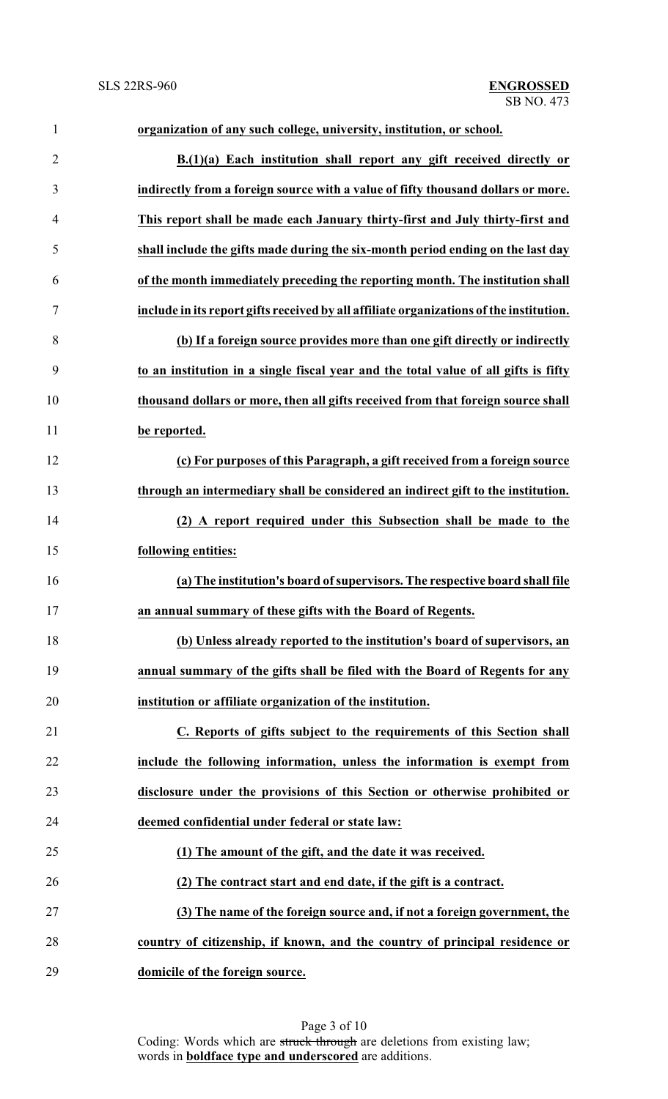| $\mathbf{1}$   | organization of any such college, university, institution, or school.                   |
|----------------|-----------------------------------------------------------------------------------------|
| $\overline{2}$ | B.(1)(a) Each institution shall report any gift received directly or                    |
| 3              | indirectly from a foreign source with a value of fifty thousand dollars or more.        |
| $\overline{4}$ | This report shall be made each January thirty-first and July thirty-first and           |
| 5              | shall include the gifts made during the six-month period ending on the last day         |
| 6              | of the month immediately preceding the reporting month. The institution shall           |
| $\tau$         | include in its report gifts received by all affiliate organizations of the institution. |
| 8              | (b) If a foreign source provides more than one gift directly or indirectly              |
| 9              | to an institution in a single fiscal year and the total value of all gifts is fifty     |
| 10             | thousand dollars or more, then all gifts received from that foreign source shall        |
| 11             | be reported.                                                                            |
| 12             | (c) For purposes of this Paragraph, a gift received from a foreign source               |
| 13             | through an intermediary shall be considered an indirect gift to the institution.        |
| 14             | (2) A report required under this Subsection shall be made to the                        |
| 15             | following entities:                                                                     |
| 16             | (a) The institution's board of supervisors. The respective board shall file             |
| 17             | an annual summary of these gifts with the Board of Regents.                             |
| 18             | (b) Unless already reported to the institution's board of supervisors, an               |
| 19             | annual summary of the gifts shall be filed with the Board of Regents for any            |
| 20             | institution or affiliate organization of the institution.                               |
| 21             | C. Reports of gifts subject to the requirements of this Section shall                   |
| 22             | include the following information, unless the information is exempt from                |
| 23             | disclosure under the provisions of this Section or otherwise prohibited or              |
| 24             | deemed confidential under federal or state law:                                         |
| 25             | (1) The amount of the gift, and the date it was received.                               |
| 26             | (2) The contract start and end date, if the gift is a contract.                         |
| 27             | (3) The name of the foreign source and, if not a foreign government, the                |
| 28             | country of citizenship, if known, and the country of principal residence or             |
| 29             | domicile of the foreign source.                                                         |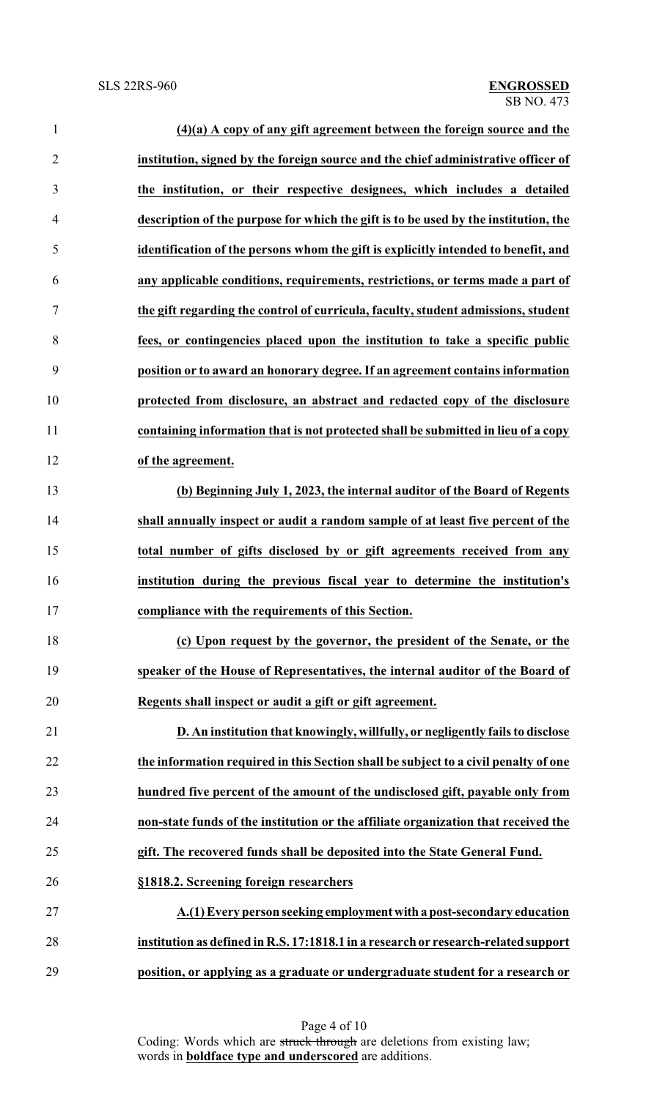| $\mathbf{1}$   | $(4)(a)$ A copy of any gift agreement between the foreign source and the            |
|----------------|-------------------------------------------------------------------------------------|
| $\overline{2}$ | institution, signed by the foreign source and the chief administrative officer of   |
| 3              | the institution, or their respective designees, which includes a detailed           |
| $\overline{4}$ | description of the purpose for which the gift is to be used by the institution, the |
| 5              | identification of the persons whom the gift is explicitly intended to benefit, and  |
| 6              | any applicable conditions, requirements, restrictions, or terms made a part of      |
| 7              | the gift regarding the control of curricula, faculty, student admissions, student   |
| 8              | fees, or contingencies placed upon the institution to take a specific public        |
| 9              | position or to award an honorary degree. If an agreement contains information       |
| 10             | protected from disclosure, an abstract and redacted copy of the disclosure          |
| 11             | containing information that is not protected shall be submitted in lieu of a copy   |
| 12             | of the agreement.                                                                   |
| 13             | (b) Beginning July 1, 2023, the internal auditor of the Board of Regents            |
| 14             | shall annually inspect or audit a random sample of at least five percent of the     |
| 15             | total number of gifts disclosed by or gift agreements received from any             |
| 16             | institution during the previous fiscal year to determine the institution's          |
| 17             | compliance with the requirements of this Section.                                   |
| 18             | (c) Upon request by the governor, the president of the Senate, or the               |
| 19             | speaker of the House of Representatives, the internal auditor of the Board of       |
| 20             | Regents shall inspect or audit a gift or gift agreement.                            |
| 21             | D. An institution that knowingly, willfully, or negligently fails to disclose       |
| 22             | the information required in this Section shall be subject to a civil penalty of one |
| 23             | hundred five percent of the amount of the undisclosed gift, payable only from       |
| 24             | non-state funds of the institution or the affiliate organization that received the  |
| 25             | gift. The recovered funds shall be deposited into the State General Fund.           |
| 26             | §1818.2. Screening foreign researchers                                              |
| 27             | A.(1) Every person seeking employment with a post-secondary education               |
| 28             | institution as defined in R.S. 17:1818.1 in a research or research-related support  |
| 29             | position, or applying as a graduate or undergraduate student for a research or      |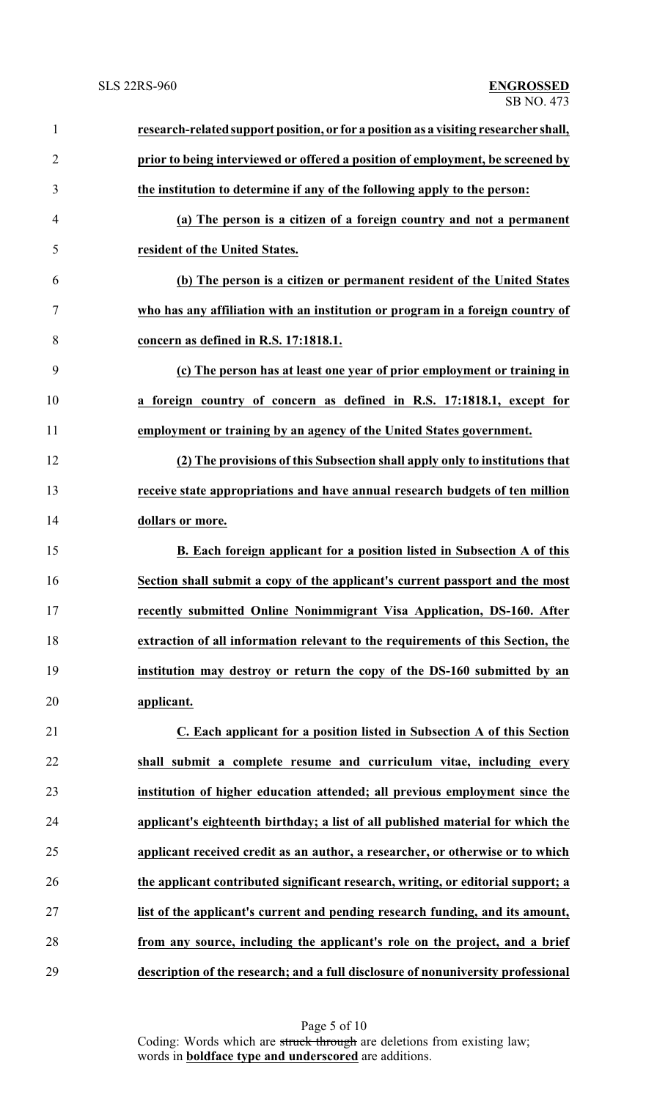| $\mathbf{1}$   | research-related support position, or for a position as a visiting researcher shall, |
|----------------|--------------------------------------------------------------------------------------|
| $\overline{2}$ | prior to being interviewed or offered a position of employment, be screened by       |
| 3              | the institution to determine if any of the following apply to the person:            |
| $\overline{4}$ | (a) The person is a citizen of a foreign country and not a permanent                 |
| 5              | resident of the United States.                                                       |
| 6              | (b) The person is a citizen or permanent resident of the United States               |
| 7              | who has any affiliation with an institution or program in a foreign country of       |
| 8              | concern as defined in R.S. 17:1818.1.                                                |
| 9              | (c) The person has at least one year of prior employment or training in              |
| 10             | a foreign country of concern as defined in R.S. 17:1818.1, except for                |
| 11             | employment or training by an agency of the United States government.                 |
| 12             | (2) The provisions of this Subsection shall apply only to institutions that          |
| 13             | receive state appropriations and have annual research budgets of ten million         |
| 14             | dollars or more.                                                                     |
| 15             | B. Each foreign applicant for a position listed in Subsection A of this              |
| 16             | Section shall submit a copy of the applicant's current passport and the most         |
| 17             | recently submitted Online Nonimmigrant Visa Application, DS-160. After               |
| 18             | extraction of all information relevant to the requirements of this Section, the      |
| 19             | institution may destroy or return the copy of the DS-160 submitted by an             |
| 20             | applicant.                                                                           |
| 21             | C. Each applicant for a position listed in Subsection A of this Section              |
| 22             | shall submit a complete resume and curriculum vitae, including every                 |
| 23             | institution of higher education attended; all previous employment since the          |
| 24             | applicant's eighteenth birthday; a list of all published material for which the      |
| 25             | applicant received credit as an author, a researcher, or otherwise or to which       |
| 26             | the applicant contributed significant research, writing, or editorial support; a     |
| 27             | list of the applicant's current and pending research funding, and its amount,        |
| 28             | from any source, including the applicant's role on the project, and a brief          |
| 29             | description of the research; and a full disclosure of nonuniversity professional     |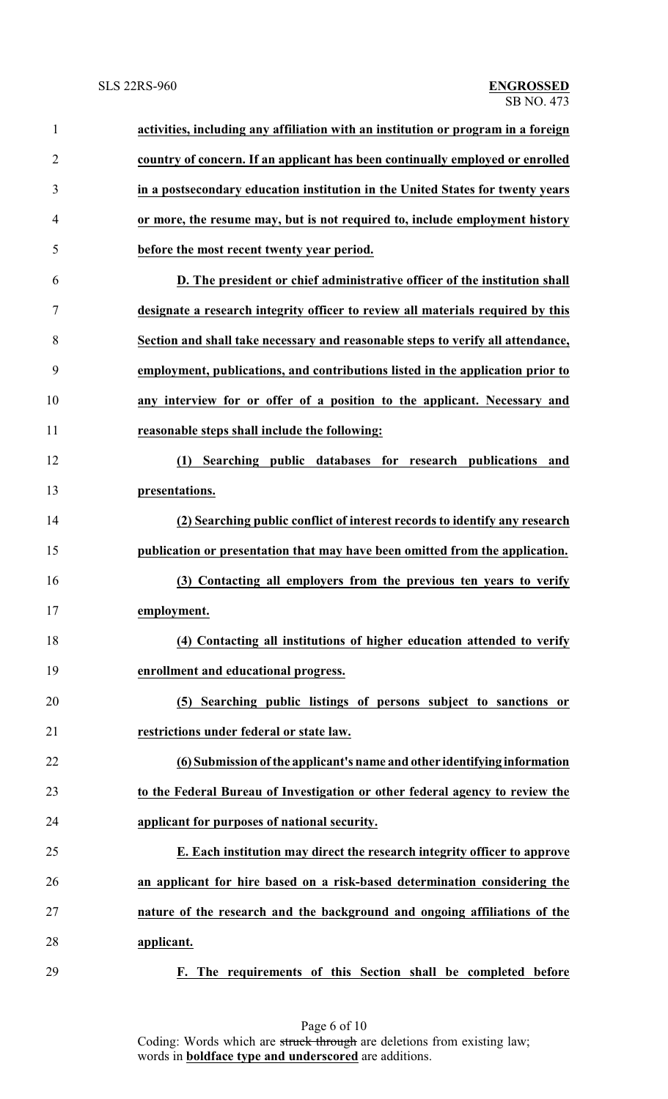| $\mathbf{1}$   | activities, including any affiliation with an institution or program in a foreign |
|----------------|-----------------------------------------------------------------------------------|
| $\overline{2}$ | country of concern. If an applicant has been continually employed or enrolled     |
| 3              | in a postsecondary education institution in the United States for twenty years    |
| 4              | or more, the resume may, but is not required to, include employment history       |
| 5              | before the most recent twenty year period.                                        |
| 6              | D. The president or chief administrative officer of the institution shall         |
| 7              | designate a research integrity officer to review all materials required by this   |
| 8              | Section and shall take necessary and reasonable steps to verify all attendance,   |
| 9              | employment, publications, and contributions listed in the application prior to    |
| 10             | any interview for or offer of a position to the applicant. Necessary and          |
| 11             | reasonable steps shall include the following:                                     |
| 12             | Searching public databases for research publications and<br>(1)                   |
| 13             | presentations.                                                                    |
| 14             | (2) Searching public conflict of interest records to identify any research        |
| 15             | publication or presentation that may have been omitted from the application.      |
| 16             | (3) Contacting all employers from the previous ten years to verify                |
| 17             | employment.                                                                       |
| 18             | (4) Contacting all institutions of higher education attended to verify            |
| 19             | enrollment and educational progress.                                              |
| 20             | (5) Searching public listings of persons subject to sanctions or                  |
| 21             | restrictions under federal or state law.                                          |
| 22             | (6) Submission of the applicant's name and other identifying information          |
| 23             | to the Federal Bureau of Investigation or other federal agency to review the      |
| 24             | applicant for purposes of national security.                                      |
| 25             | E. Each institution may direct the research integrity officer to approve          |
| 26             | an applicant for hire based on a risk-based determination considering the         |
| 27             | nature of the research and the background and ongoing affiliations of the         |
| 28             | applicant.                                                                        |
| 29             | F. The requirements of this Section shall be completed before                     |

Page 6 of 10 Coding: Words which are struck through are deletions from existing law; words in **boldface type and underscored** are additions.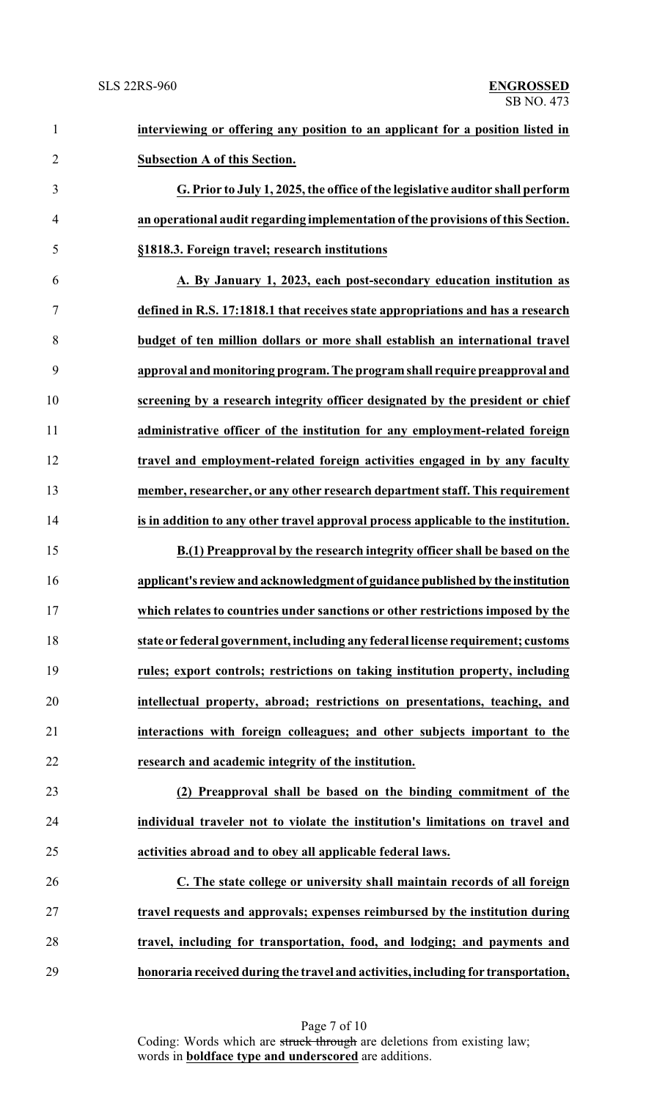| $\mathbf{1}$   | interviewing or offering any position to an applicant for a position listed in     |
|----------------|------------------------------------------------------------------------------------|
| $\overline{2}$ | <b>Subsection A of this Section.</b>                                               |
| 3              | G. Prior to July 1, 2025, the office of the legislative auditor shall perform      |
| $\overline{4}$ | an operational audit regarding implementation of the provisions of this Section.   |
| 5              | §1818.3. Foreign travel; research institutions                                     |
| 6              | A. By January 1, 2023, each post-secondary education institution as                |
| 7              | defined in R.S. 17:1818.1 that receives state appropriations and has a research    |
| 8              | budget of ten million dollars or more shall establish an international travel      |
| 9              | approval and monitoring program. The program shall require preapproval and         |
| 10             | screening by a research integrity officer designated by the president or chief     |
| 11             | administrative officer of the institution for any employment-related foreign       |
| 12             | travel and employment-related foreign activities engaged in by any faculty         |
| 13             | member, researcher, or any other research department staff. This requirement       |
| 14             | is in addition to any other travel approval process applicable to the institution. |
| 15             | B.(1) Preapproval by the research integrity officer shall be based on the          |
| 16             | applicant's review and acknowledgment of guidance published by the institution     |
| 17             | which relates to countries under sanctions or other restrictions imposed by the    |
| 18             | state or federal government, including any federal license requirement; customs    |
| 19             | rules; export controls; restrictions on taking institution property, including     |
| 20             | intellectual property, abroad; restrictions on presentations, teaching, and        |
| 21             | interactions with foreign colleagues; and other subjects important to the          |
| 22             | research and academic integrity of the institution.                                |
| 23             | (2) Preapproval shall be based on the binding commitment of the                    |
| 24             | individual traveler not to violate the institution's limitations on travel and     |
| 25             | activities abroad and to obey all applicable federal laws.                         |
| 26             | C. The state college or university shall maintain records of all foreign           |
| 27             | travel requests and approvals; expenses reimbursed by the institution during       |
| 28             | travel, including for transportation, food, and lodging; and payments and          |
| 29             | honoraria received during the travel and activities, including for transportation, |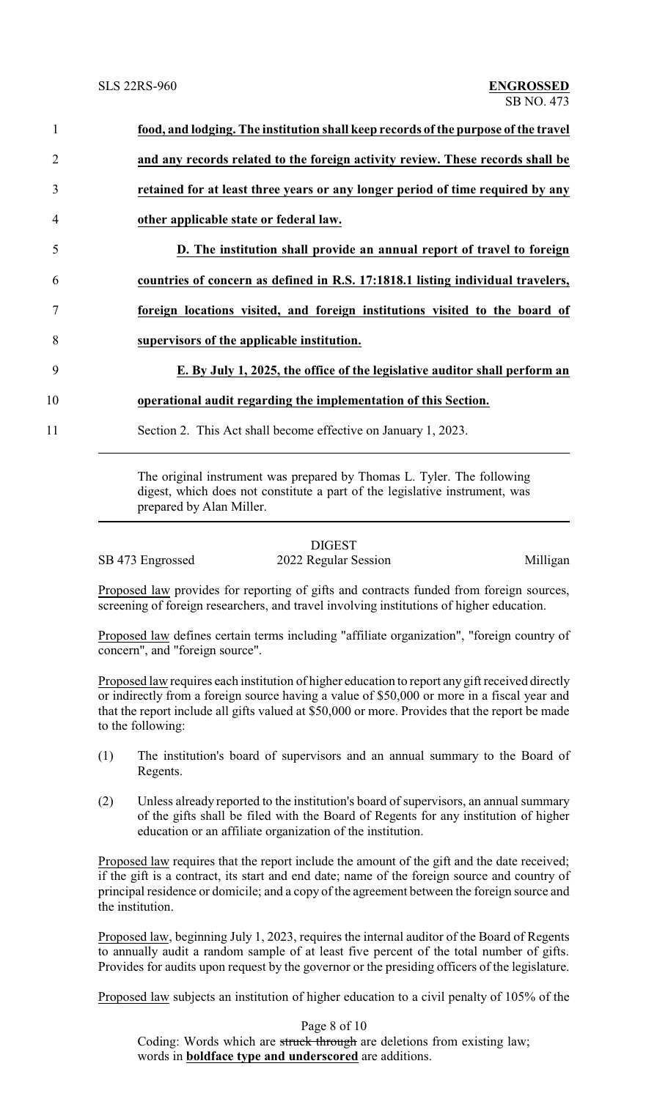| $\mathbf{1}$   | food, and lodging. The institution shall keep records of the purpose of the travel |
|----------------|------------------------------------------------------------------------------------|
| 2              | and any records related to the foreign activity review. These records shall be     |
| 3              | retained for at least three years or any longer period of time required by any     |
| $\overline{4}$ | other applicable state or federal law.                                             |
| 5              | D. The institution shall provide an annual report of travel to foreign             |
| 6              | countries of concern as defined in R.S. 17:1818.1 listing individual travelers,    |
|                | foreign locations visited, and foreign institutions visited to the board of        |
| 8              | supervisors of the applicable institution.                                         |
| 9              | E. By July 1, 2025, the office of the legislative auditor shall perform an         |
| 10             | operational audit regarding the implementation of this Section.                    |
| 11             | Section 2. This Act shall become effective on January 1, 2023.                     |
|                |                                                                                    |

The original instrument was prepared by Thomas L. Tyler. The following digest, which does not constitute a part of the legislative instrument, was prepared by Alan Miller.

DIGEST SB 473 Engrossed 2022 Regular Session Milligan

Proposed law provides for reporting of gifts and contracts funded from foreign sources, screening of foreign researchers, and travel involving institutions of higher education.

Proposed law defines certain terms including "affiliate organization", "foreign country of concern", and "foreign source".

Proposed law requires each institution of higher education to report any gift received directly or indirectly from a foreign source having a value of \$50,000 or more in a fiscal year and that the report include all gifts valued at \$50,000 or more. Provides that the report be made to the following:

- (1) The institution's board of supervisors and an annual summary to the Board of Regents.
- (2) Unless already reported to the institution's board of supervisors, an annual summary of the gifts shall be filed with the Board of Regents for any institution of higher education or an affiliate organization of the institution.

Proposed law requires that the report include the amount of the gift and the date received; if the gift is a contract, its start and end date; name of the foreign source and country of principal residence or domicile; and a copy of the agreement between the foreign source and the institution.

Proposed law, beginning July 1, 2023, requires the internal auditor of the Board of Regents to annually audit a random sample of at least five percent of the total number of gifts. Provides for audits upon request by the governor or the presiding officers of the legislature.

Proposed law subjects an institution of higher education to a civil penalty of 105% of the

Page 8 of 10 Coding: Words which are struck through are deletions from existing law; words in **boldface type and underscored** are additions.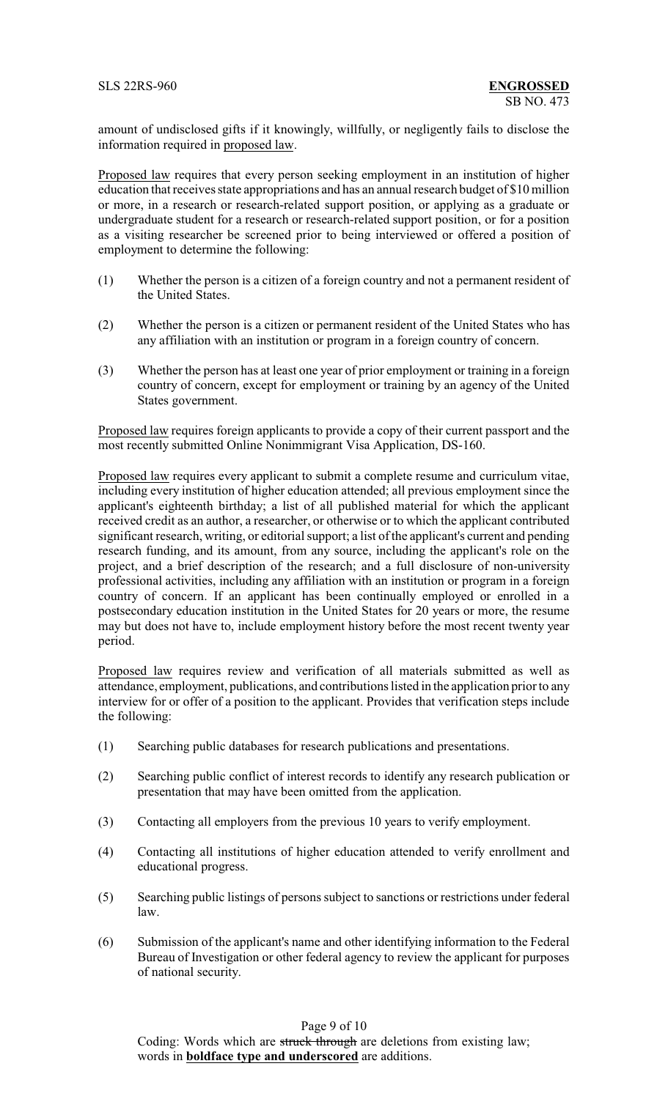amount of undisclosed gifts if it knowingly, willfully, or negligently fails to disclose the information required in proposed law.

Proposed law requires that every person seeking employment in an institution of higher education that receives state appropriations and has an annual research budget of \$10 million or more, in a research or research-related support position, or applying as a graduate or undergraduate student for a research or research-related support position, or for a position as a visiting researcher be screened prior to being interviewed or offered a position of employment to determine the following:

- (1) Whether the person is a citizen of a foreign country and not a permanent resident of the United States.
- (2) Whether the person is a citizen or permanent resident of the United States who has any affiliation with an institution or program in a foreign country of concern.
- (3) Whether the person has at least one year of prior employment or training in a foreign country of concern, except for employment or training by an agency of the United States government.

Proposed law requires foreign applicants to provide a copy of their current passport and the most recently submitted Online Nonimmigrant Visa Application, DS-160.

Proposed law requires every applicant to submit a complete resume and curriculum vitae, including every institution of higher education attended; all previous employment since the applicant's eighteenth birthday; a list of all published material for which the applicant received credit as an author, a researcher, or otherwise or to which the applicant contributed significant research, writing, or editorial support; a list of the applicant's current and pending research funding, and its amount, from any source, including the applicant's role on the project, and a brief description of the research; and a full disclosure of non-university professional activities, including any affiliation with an institution or program in a foreign country of concern. If an applicant has been continually employed or enrolled in a postsecondary education institution in the United States for 20 years or more, the resume may but does not have to, include employment history before the most recent twenty year period.

Proposed law requires review and verification of all materials submitted as well as attendance, employment, publications, and contributions listed in the application prior to any interview for or offer of a position to the applicant. Provides that verification steps include the following:

- (1) Searching public databases for research publications and presentations.
- (2) Searching public conflict of interest records to identify any research publication or presentation that may have been omitted from the application.
- (3) Contacting all employers from the previous 10 years to verify employment.
- (4) Contacting all institutions of higher education attended to verify enrollment and educational progress.
- (5) Searching public listings of persons subject to sanctions or restrictions under federal law.
- (6) Submission of the applicant's name and other identifying information to the Federal Bureau of Investigation or other federal agency to review the applicant for purposes of national security.

Page 9 of 10

Coding: Words which are struck through are deletions from existing law; words in **boldface type and underscored** are additions.